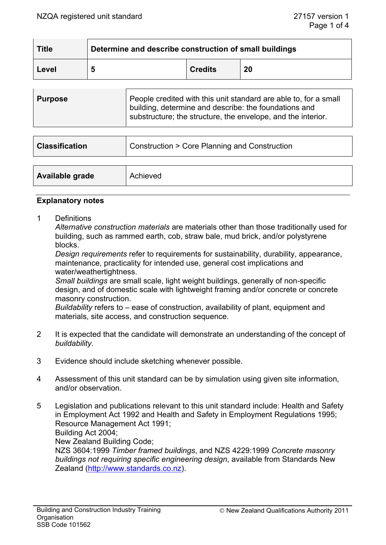| <b>Title</b> | Determine and describe construction of small buildings |                |    |
|--------------|--------------------------------------------------------|----------------|----|
| Level        | Ð                                                      | <b>Credits</b> | 20 |

| <b>Purpose</b> | People credited with this unit standard are able to, for a small<br>building, determine and describe: the foundations and<br>substructure; the structure, the envelope, and the interior. |
|----------------|-------------------------------------------------------------------------------------------------------------------------------------------------------------------------------------------|
|                |                                                                                                                                                                                           |

| <b>Classification</b> | Construction > Core Planning and Construction |
|-----------------------|-----------------------------------------------|
| Available grade       | Achieved                                      |

#### **Explanatory notes**

1 Definitions

*Alternative construction materials* are materials other than those traditionally used for building, such as rammed earth, cob, straw bale, mud brick, and/or polystyrene blocks.

*Design requirements* refer to requirements for sustainability, durability, appearance, maintenance, practicality for intended use, general cost implications and water/weathertightness.

*Small buildings* are small scale, light weight buildings, generally of non-specific design, and of domestic scale with lightweight framing and/or concrete or concrete masonry construction.

*Buildability* refers to – ease of construction, availability of plant, equipment and materials, site access, and construction sequence.

- 2 It is expected that the candidate will demonstrate an understanding of the concept of *buildability*.
- 3 Evidence should include sketching whenever possible.
- 4 Assessment of this unit standard can be by simulation using given site information, and/or observation.
- 5 Legislation and publications relevant to this unit standard include: Health and Safety in Employment Act 1992 and Health and Safety in Employment Regulations 1995; Resource Management Act 1991; Building Act 2004; New Zealand Building Code; NZS 3604:1999 *Timber framed buildings*, and NZS 4229:1999 *Concrete masonry buildings not requiring specific engineering design*, available from Standards New Zealand (http://www.standards.co.nz).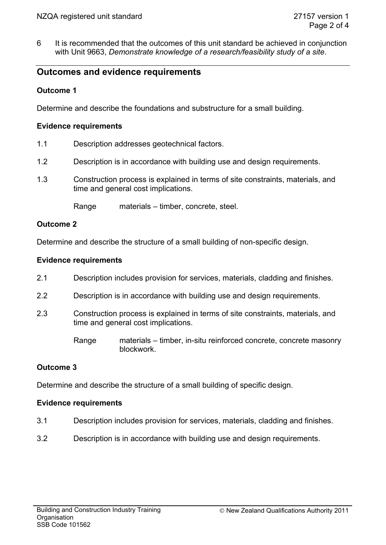6 It is recommended that the outcomes of this unit standard be achieved in conjunction with Unit 9663, *Demonstrate knowledge of a research/feasibility study of a site*.

# **Outcomes and evidence requirements**

# **Outcome 1**

Determine and describe the foundations and substructure for a small building.

### **Evidence requirements**

- 1.1 Description addresses geotechnical factors.
- 1.2 Description is in accordance with building use and design requirements.
- 1.3 Construction process is explained in terms of site constraints, materials, and time and general cost implications.

Range materials – timber, concrete, steel.

### **Outcome 2**

Determine and describe the structure of a small building of non-specific design.

# **Evidence requirements**

- 2.1 Description includes provision for services, materials, cladding and finishes.
- 2.2 Description is in accordance with building use and design requirements.
- 2.3 Construction process is explained in terms of site constraints, materials, and time and general cost implications.
	- Range materials timber, in-situ reinforced concrete, concrete masonry blockwork.

# **Outcome 3**

Determine and describe the structure of a small building of specific design.

# **Evidence requirements**

- 3.1 Description includes provision for services, materials, cladding and finishes.
- 3.2 Description is in accordance with building use and design requirements.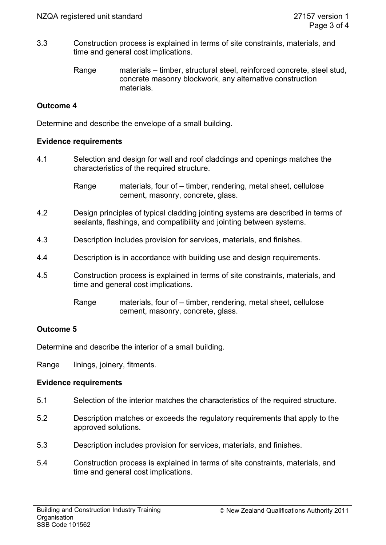- 3.3 Construction process is explained in terms of site constraints, materials, and time and general cost implications.
	- Range materials timber, structural steel, reinforced concrete, steel stud, concrete masonry blockwork, any alternative construction materials.

# **Outcome 4**

Determine and describe the envelope of a small building.

#### **Evidence requirements**

4.1 Selection and design for wall and roof claddings and openings matches the characteristics of the required structure.

> Range materials, four of – timber, rendering, metal sheet, cellulose cement, masonry, concrete, glass.

- 4.2 Design principles of typical cladding jointing systems are described in terms of sealants, flashings, and compatibility and jointing between systems.
- 4.3 Description includes provision for services, materials, and finishes.
- 4.4 Description is in accordance with building use and design requirements.
- 4.5 Construction process is explained in terms of site constraints, materials, and time and general cost implications.
	- Range materials, four of timber, rendering, metal sheet, cellulose cement, masonry, concrete, glass.

### **Outcome 5**

Determine and describe the interior of a small building.

Range linings, joinery, fitments.

### **Evidence requirements**

- 5.1 Selection of the interior matches the characteristics of the required structure.
- 5.2 Description matches or exceeds the regulatory requirements that apply to the approved solutions.
- 5.3 Description includes provision for services, materials, and finishes.
- 5.4 Construction process is explained in terms of site constraints, materials, and time and general cost implications.